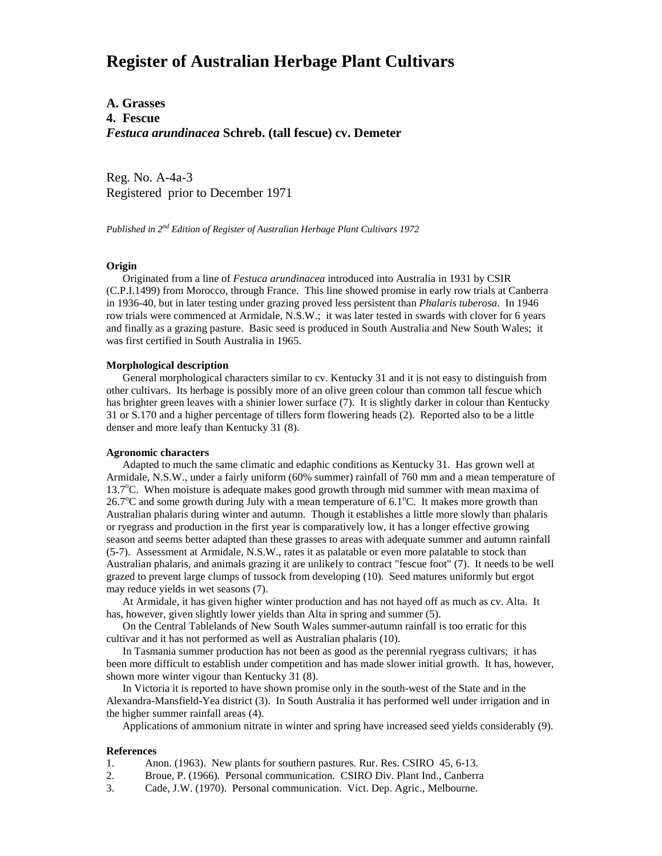# **Register of Australian Herbage Plant Cultivars**

# **A. Grasses 4. Fescue** *Festuca arundinacea* **Schreb. (tall fescue) cv. Demeter**

Reg. No. A-4a-3 Registered prior to December 1971

*Published in 2nd Edition of Register of Australian Herbage Plant Cultivars 1972*

## **Origin**

 Originated from a line of *Festuca arundinacea* introduced into Australia in 1931 by CSIR (C.P.I.1499) from Morocco, through France. This line showed promise in early row trials at Canberra in 1936-40, but in later testing under grazing proved less persistent than *Phalaris tuberosa*. In 1946 row trials were commenced at Armidale, N.S.W.; it was later tested in swards with clover for 6 years and finally as a grazing pasture. Basic seed is produced in South Australia and New South Wales; it was first certified in South Australia in 1965.

### **Morphological description**

 General morphological characters similar to cv. Kentucky 31 and it is not easy to distinguish from other cultivars. Its herbage is possibly more of an olive green colour than common tall fescue which has brighter green leaves with a shinier lower surface (7). It is slightly darker in colour than Kentucky 31 or S.170 and a higher percentage of tillers form flowering heads (2). Reported also to be a little denser and more leafy than Kentucky 31 (8).

#### **Agronomic characters**

 Adapted to much the same climatic and edaphic conditions as Kentucky 31. Has grown well at Armidale, N.S.W., under a fairly uniform (60% summer) rainfall of 760 mm and a mean temperature of 13.7°C. When moisture is adequate makes good growth through mid summer with mean maxima of 26.7°C and some growth during July with a mean temperature of 6.1°C. It makes more growth than Australian phalaris during winter and autumn. Though it establishes a little more slowly than phalaris or ryegrass and production in the first year is comparatively low, it has a longer effective growing season and seems better adapted than these grasses to areas with adequate summer and autumn rainfall (5-7). Assessment at Armidale, N.S.W., rates it as palatable or even more palatable to stock than Australian phalaris, and animals grazing it are unlikely to contract "fescue foot" (7). It needs to be well grazed to prevent large clumps of tussock from developing (10). Seed matures uniformly but ergot may reduce yields in wet seasons (7).

 At Armidale, it has given higher winter production and has not hayed off as much as cv. Alta. It has, however, given slightly lower yields than Alta in spring and summer (5).

 On the Central Tablelands of New South Wales summer-autumn rainfall is too erratic for this cultivar and it has not performed as well as Australian phalaris (10).

 In Tasmania summer production has not been as good as the perennial ryegrass cultivars; it has been more difficult to establish under competition and has made slower initial growth. It has, however, shown more winter vigour than Kentucky 31 (8).

 In Victoria it is reported to have shown promise only in the south-west of the State and in the Alexandra-Mansfield-Yea district (3). In South Australia it has performed well under irrigation and in the higher summer rainfall areas (4).

Applications of ammonium nitrate in winter and spring have increased seed yields considerably (9).

#### **References**

- 1. Anon. (1963). New plants for southern pastures. Rur. Res. CSIRO 45, 6-13.
- 2. Broue, P. (1966). Personal communication. CSIRO Div. Plant Ind., Canberra
- 3. Cade, J.W. (1970). Personal communication. Vict. Dep. Agric., Melbourne.